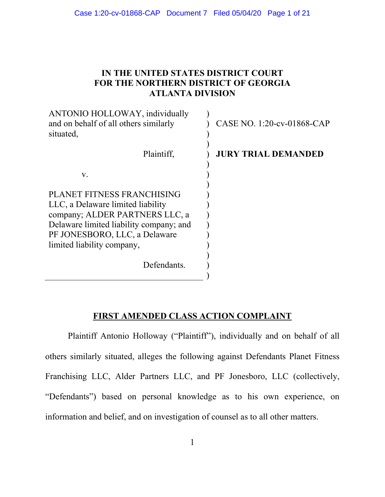## **IN THE UNITED STATES DISTRICT COURT FOR THE NORTHERN DISTRICT OF GEORGIA ATLANTA DIVISION**

| ANTONIO HOLLOWAY, individually<br>and on behalf of all others similarly<br>situated, | CASE NO. 1:20-cv-01868-CAP |
|--------------------------------------------------------------------------------------|----------------------------|
| Plaintiff,                                                                           | <b>JURY TRIAL DEMANDED</b> |
| V.                                                                                   |                            |
| PLANET FITNESS FRANCHISING                                                           |                            |
| LLC, a Delaware limited liability                                                    |                            |
| company; ALDER PARTNERS LLC, a                                                       |                            |
| Delaware limited liability company; and                                              |                            |
| PF JONESBORO, LLC, a Delaware                                                        |                            |
| limited liability company,                                                           |                            |
| Defendants.                                                                          |                            |

# **FIRST AMENDED CLASS ACTION COMPLAINT**

Plaintiff Antonio Holloway ("Plaintiff"), individually and on behalf of all others similarly situated, alleges the following against Defendants Planet Fitness Franchising LLC, Alder Partners LLC, and PF Jonesboro, LLC (collectively, "Defendants") based on personal knowledge as to his own experience, on information and belief, and on investigation of counsel as to all other matters.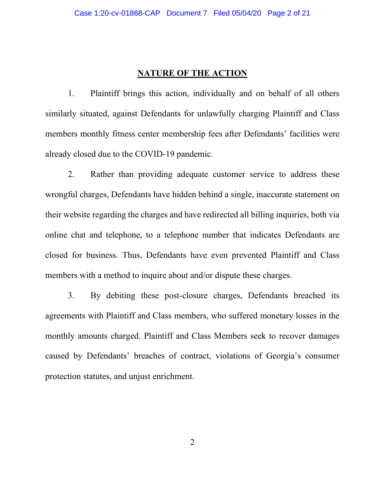# **NATURE OF THE ACTION**

1. Plaintiff brings this action, individually and on behalf of all others similarly situated, against Defendants for unlawfully charging Plaintiff and Class members monthly fitness center membership fees after Defendants' facilities were already closed due to the COVID-19 pandemic.

2. Rather than providing adequate customer service to address these wrongful charges, Defendants have hidden behind a single, inaccurate statement on their website regarding the charges and have redirected all billing inquiries, both via online chat and telephone, to a telephone number that indicates Defendants are closed for business. Thus, Defendants have even prevented Plaintiff and Class members with a method to inquire about and/or dispute these charges.

3. By debiting these post-closure charges, Defendants breached its agreements with Plaintiff and Class members, who suffered monetary losses in the monthly amounts charged. Plaintiff and Class Members seek to recover damages caused by Defendants' breaches of contract, violations of Georgia's consumer protection statutes, and unjust enrichment.

2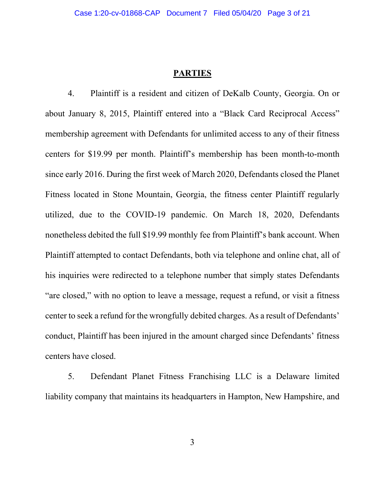### **PARTIES**

4. Plaintiff is a resident and citizen of DeKalb County, Georgia. On or about January 8, 2015, Plaintiff entered into a "Black Card Reciprocal Access" membership agreement with Defendants for unlimited access to any of their fitness centers for \$19.99 per month. Plaintiff's membership has been month-to-month since early 2016. During the first week of March 2020, Defendants closed the Planet Fitness located in Stone Mountain, Georgia, the fitness center Plaintiff regularly utilized, due to the COVID-19 pandemic. On March 18, 2020, Defendants nonetheless debited the full \$19.99 monthly fee from Plaintiff's bank account. When Plaintiff attempted to contact Defendants, both via telephone and online chat, all of his inquiries were redirected to a telephone number that simply states Defendants "are closed," with no option to leave a message, request a refund, or visit a fitness center to seek a refund for the wrongfully debited charges. As a result of Defendants' conduct, Plaintiff has been injured in the amount charged since Defendants' fitness centers have closed.

5. Defendant Planet Fitness Franchising LLC is a Delaware limited liability company that maintains its headquarters in Hampton, New Hampshire, and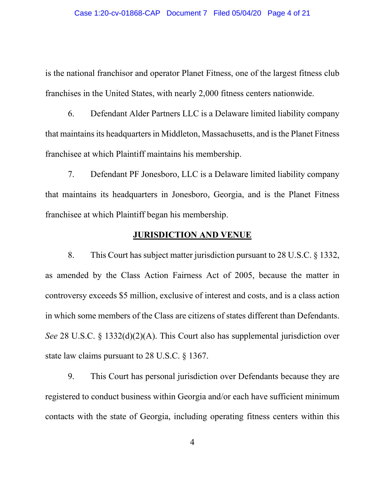is the national franchisor and operator Planet Fitness, one of the largest fitness club franchises in the United States, with nearly 2,000 fitness centers nationwide.

6. Defendant Alder Partners LLC is a Delaware limited liability company that maintains its headquarters in Middleton, Massachusetts, and is the Planet Fitness franchisee at which Plaintiff maintains his membership.

7. Defendant PF Jonesboro, LLC is a Delaware limited liability company that maintains its headquarters in Jonesboro, Georgia, and is the Planet Fitness franchisee at which Plaintiff began his membership.

### **JURISDICTION AND VENUE**

8. This Court has subject matter jurisdiction pursuant to 28 U.S.C. § 1332, as amended by the Class Action Fairness Act of 2005, because the matter in controversy exceeds \$5 million, exclusive of interest and costs, and is a class action in which some members of the Class are citizens of states different than Defendants. *See* 28 U.S.C. § 1332(d)(2)(A). This Court also has supplemental jurisdiction over state law claims pursuant to 28 U.S.C. § 1367.

9. This Court has personal jurisdiction over Defendants because they are registered to conduct business within Georgia and/or each have sufficient minimum contacts with the state of Georgia, including operating fitness centers within this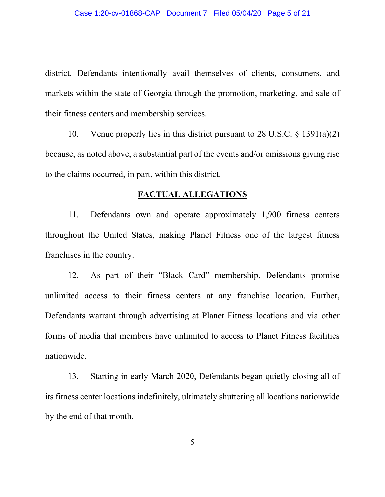district. Defendants intentionally avail themselves of clients, consumers, and markets within the state of Georgia through the promotion, marketing, and sale of their fitness centers and membership services.

10. Venue properly lies in this district pursuant to 28 U.S.C. § 1391(a)(2) because, as noted above, a substantial part of the events and/or omissions giving rise to the claims occurred, in part, within this district.

### **FACTUAL ALLEGATIONS**

11. Defendants own and operate approximately 1,900 fitness centers throughout the United States, making Planet Fitness one of the largest fitness franchises in the country.

12. As part of their "Black Card" membership, Defendants promise unlimited access to their fitness centers at any franchise location. Further, Defendants warrant through advertising at Planet Fitness locations and via other forms of media that members have unlimited to access to Planet Fitness facilities nationwide.

13. Starting in early March 2020, Defendants began quietly closing all of its fitness center locations indefinitely, ultimately shuttering all locations nationwide by the end of that month.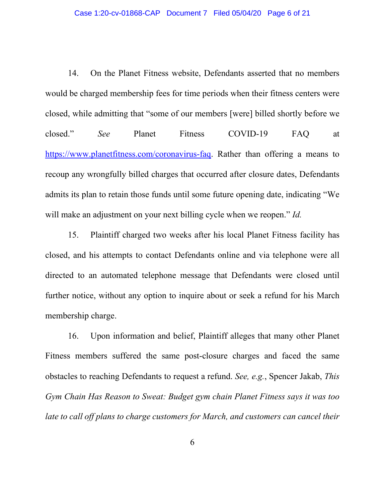14. On the Planet Fitness website, Defendants asserted that no members would be charged membership fees for time periods when their fitness centers were closed, while admitting that "some of our members [were] billed shortly before we closed." *See* Planet Fitness COVID-19 FAQ at [https://www.planetfitness.com/coronavirus-faq.](https://www.planetfitness.com/coronavirus-faq) Rather than offering a means to recoup any wrongfully billed charges that occurred after closure dates, Defendants admits its plan to retain those funds until some future opening date, indicating "We will make an adjustment on your next billing cycle when we reopen." *Id.*

15. Plaintiff charged two weeks after his local Planet Fitness facility has closed, and his attempts to contact Defendants online and via telephone were all directed to an automated telephone message that Defendants were closed until further notice, without any option to inquire about or seek a refund for his March membership charge.

16. Upon information and belief, Plaintiff alleges that many other Planet Fitness members suffered the same post-closure charges and faced the same obstacles to reaching Defendants to request a refund. *See, e.g.*, Spencer Jakab, *This Gym Chain Has Reason to Sweat: Budget gym chain Planet Fitness says it was too late to call off plans to charge customers for March, and customers can cancel their*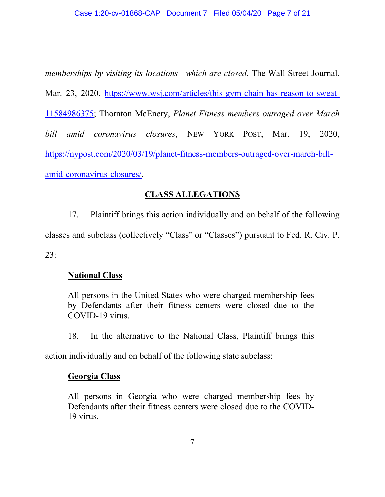*memberships by visiting its locations—which are closed*, The Wall Street Journal, Mar. 23, 2020, [https://www.wsj.com/articles/this-gym-chain-has-reason-to-sweat-](https://www.wsj.com/articles/this-gym-chain-has-reason-to-sweat-11584986375)[11584986375;](https://www.wsj.com/articles/this-gym-chain-has-reason-to-sweat-11584986375) Thornton McEnery, *Planet Fitness members outraged over March bill amid coronavirus closures*, NEW YORK POST, Mar. 19, 2020, [https://nypost.com/2020/03/19/planet-fitness-members-outraged-over-march-bill](https://nypost.com/2020/03/19/planet-fitness-members-outraged-over-march-bill-amid-coronavirus-closures/)[amid-coronavirus-closures/.](https://nypost.com/2020/03/19/planet-fitness-members-outraged-over-march-bill-amid-coronavirus-closures/)

# **CLASS ALLEGATIONS**

17. Plaintiff brings this action individually and on behalf of the following classes and subclass (collectively "Class" or "Classes") pursuant to Fed. R. Civ. P.

23:

# **National Class**

All persons in the United States who were charged membership fees by Defendants after their fitness centers were closed due to the COVID-19 virus.

18. In the alternative to the National Class, Plaintiff brings this

action individually and on behalf of the following state subclass:

## **Georgia Class**

All persons in Georgia who were charged membership fees by Defendants after their fitness centers were closed due to the COVID-19 virus.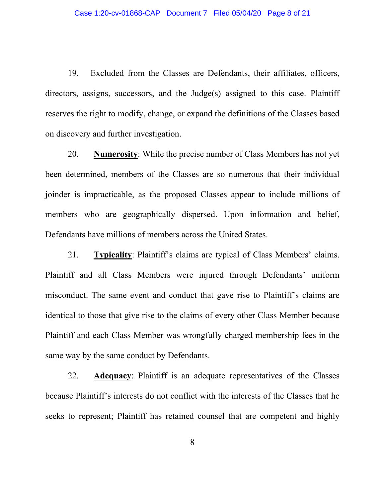19. Excluded from the Classes are Defendants, their affiliates, officers, directors, assigns, successors, and the Judge(s) assigned to this case. Plaintiff reserves the right to modify, change, or expand the definitions of the Classes based on discovery and further investigation.

20. **Numerosity**: While the precise number of Class Members has not yet been determined, members of the Classes are so numerous that their individual joinder is impracticable, as the proposed Classes appear to include millions of members who are geographically dispersed. Upon information and belief, Defendants have millions of members across the United States.

21. **Typicality**: Plaintiff's claims are typical of Class Members' claims. Plaintiff and all Class Members were injured through Defendants' uniform misconduct. The same event and conduct that gave rise to Plaintiff's claims are identical to those that give rise to the claims of every other Class Member because Plaintiff and each Class Member was wrongfully charged membership fees in the same way by the same conduct by Defendants.

22. **Adequacy**: Plaintiff is an adequate representatives of the Classes because Plaintiff's interests do not conflict with the interests of the Classes that he seeks to represent; Plaintiff has retained counsel that are competent and highly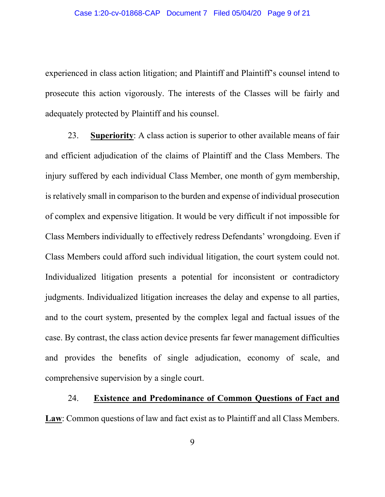experienced in class action litigation; and Plaintiff and Plaintiff's counsel intend to prosecute this action vigorously. The interests of the Classes will be fairly and adequately protected by Plaintiff and his counsel.

23. **Superiority**: A class action is superior to other available means of fair and efficient adjudication of the claims of Plaintiff and the Class Members. The injury suffered by each individual Class Member, one month of gym membership, is relatively small in comparison to the burden and expense of individual prosecution of complex and expensive litigation. It would be very difficult if not impossible for Class Members individually to effectively redress Defendants' wrongdoing. Even if Class Members could afford such individual litigation, the court system could not. Individualized litigation presents a potential for inconsistent or contradictory judgments. Individualized litigation increases the delay and expense to all parties, and to the court system, presented by the complex legal and factual issues of the case. By contrast, the class action device presents far fewer management difficulties and provides the benefits of single adjudication, economy of scale, and comprehensive supervision by a single court.

24. **Existence and Predominance of Common Questions of Fact and** 

**Law**: Common questions of law and fact exist as to Plaintiff and all Class Members.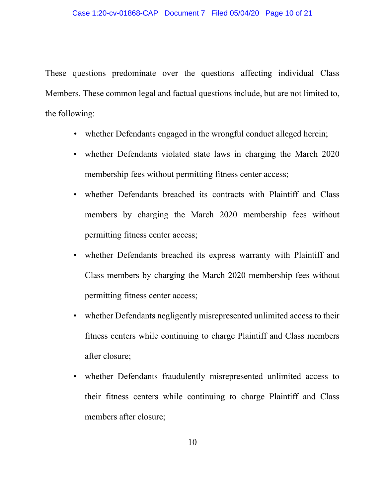#### Case 1:20-cv-01868-CAP Document 7 Filed 05/04/20 Page 10 of 21

These questions predominate over the questions affecting individual Class Members. These common legal and factual questions include, but are not limited to, the following:

- whether Defendants engaged in the wrongful conduct alleged herein;
- whether Defendants violated state laws in charging the March 2020 membership fees without permitting fitness center access;
- whether Defendants breached its contracts with Plaintiff and Class members by charging the March 2020 membership fees without permitting fitness center access;
- whether Defendants breached its express warranty with Plaintiff and Class members by charging the March 2020 membership fees without permitting fitness center access;
- whether Defendants negligently misrepresented unlimited access to their fitness centers while continuing to charge Plaintiff and Class members after closure;
- whether Defendants fraudulently misrepresented unlimited access to their fitness centers while continuing to charge Plaintiff and Class members after closure;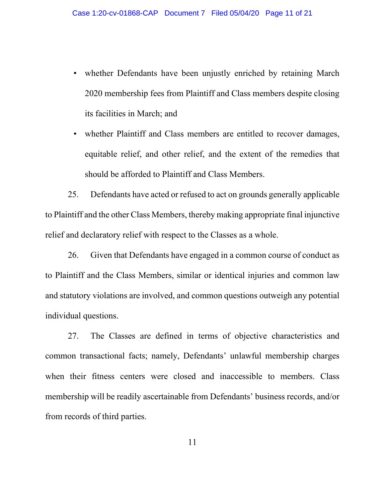- whether Defendants have been unjustly enriched by retaining March 2020 membership fees from Plaintiff and Class members despite closing its facilities in March; and
- whether Plaintiff and Class members are entitled to recover damages, equitable relief, and other relief, and the extent of the remedies that should be afforded to Plaintiff and Class Members.

25. Defendants have acted or refused to act on grounds generally applicable to Plaintiff and the other Class Members, thereby making appropriate final injunctive relief and declaratory relief with respect to the Classes as a whole.

26. Given that Defendants have engaged in a common course of conduct as to Plaintiff and the Class Members, similar or identical injuries and common law and statutory violations are involved, and common questions outweigh any potential individual questions.

27. The Classes are defined in terms of objective characteristics and common transactional facts; namely, Defendants' unlawful membership charges when their fitness centers were closed and inaccessible to members. Class membership will be readily ascertainable from Defendants' business records, and/or from records of third parties.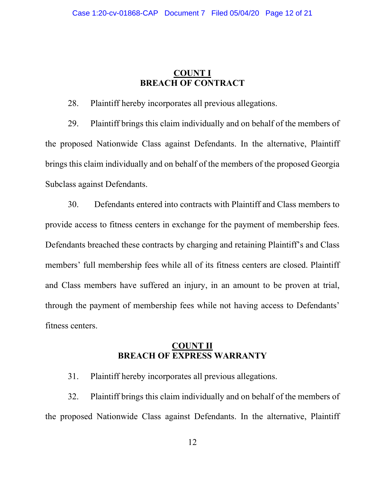## **COUNT I BREACH OF CONTRACT**

28. Plaintiff hereby incorporates all previous allegations.

29. Plaintiff brings this claim individually and on behalf of the members of the proposed Nationwide Class against Defendants. In the alternative, Plaintiff brings this claim individually and on behalf of the members of the proposed Georgia Subclass against Defendants.

30. Defendants entered into contracts with Plaintiff and Class members to provide access to fitness centers in exchange for the payment of membership fees. Defendants breached these contracts by charging and retaining Plaintiff's and Class members' full membership fees while all of its fitness centers are closed. Plaintiff and Class members have suffered an injury, in an amount to be proven at trial, through the payment of membership fees while not having access to Defendants' fitness centers.

### **COUNT II BREACH OF EXPRESS WARRANTY**

31. Plaintiff hereby incorporates all previous allegations.

32. Plaintiff brings this claim individually and on behalf of the members of the proposed Nationwide Class against Defendants. In the alternative, Plaintiff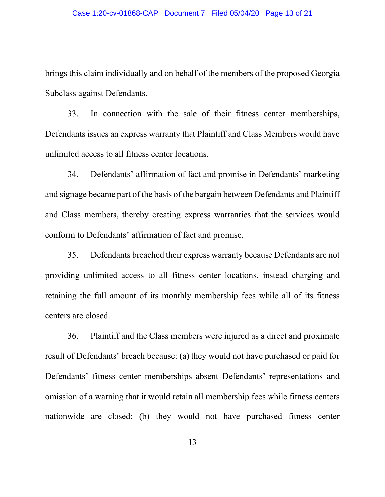brings this claim individually and on behalf of the members of the proposed Georgia Subclass against Defendants.

33. In connection with the sale of their fitness center memberships, Defendants issues an express warranty that Plaintiff and Class Members would have unlimited access to all fitness center locations.

34. Defendants' affirmation of fact and promise in Defendants' marketing and signage became part of the basis of the bargain between Defendants and Plaintiff and Class members, thereby creating express warranties that the services would conform to Defendants' affirmation of fact and promise.

35. Defendants breached their express warranty because Defendants are not providing unlimited access to all fitness center locations, instead charging and retaining the full amount of its monthly membership fees while all of its fitness centers are closed.

36. Plaintiff and the Class members were injured as a direct and proximate result of Defendants' breach because: (a) they would not have purchased or paid for Defendants' fitness center memberships absent Defendants' representations and omission of a warning that it would retain all membership fees while fitness centers nationwide are closed; (b) they would not have purchased fitness center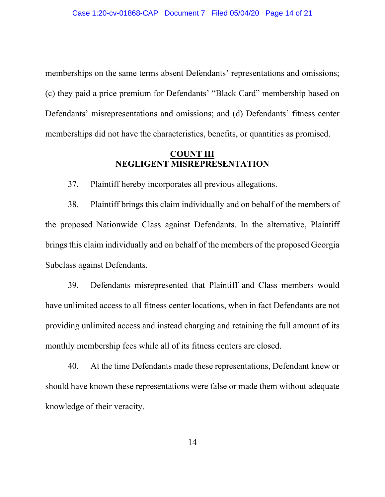memberships on the same terms absent Defendants' representations and omissions; (c) they paid a price premium for Defendants' "Black Card" membership based on Defendants' misrepresentations and omissions; and (d) Defendants' fitness center memberships did not have the characteristics, benefits, or quantities as promised.

### **COUNT III NEGLIGENT MISREPRESENTATION**

37. Plaintiff hereby incorporates all previous allegations.

38. Plaintiff brings this claim individually and on behalf of the members of the proposed Nationwide Class against Defendants. In the alternative, Plaintiff brings this claim individually and on behalf of the members of the proposed Georgia Subclass against Defendants.

39. Defendants misrepresented that Plaintiff and Class members would have unlimited access to all fitness center locations, when in fact Defendants are not providing unlimited access and instead charging and retaining the full amount of its monthly membership fees while all of its fitness centers are closed.

40. At the time Defendants made these representations, Defendant knew or should have known these representations were false or made them without adequate knowledge of their veracity.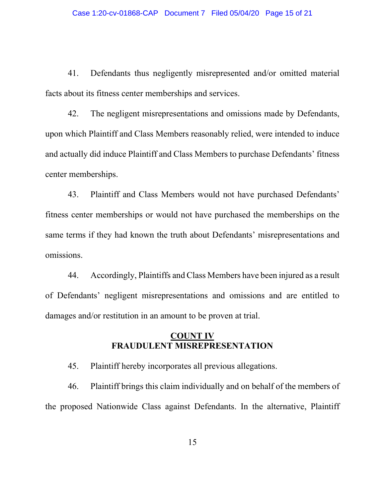41. Defendants thus negligently misrepresented and/or omitted material facts about its fitness center memberships and services.

42. The negligent misrepresentations and omissions made by Defendants, upon which Plaintiff and Class Members reasonably relied, were intended to induce and actually did induce Plaintiff and Class Members to purchase Defendants' fitness center memberships.

43. Plaintiff and Class Members would not have purchased Defendants' fitness center memberships or would not have purchased the memberships on the same terms if they had known the truth about Defendants' misrepresentations and omissions.

44. Accordingly, Plaintiffs and Class Members have been injured as a result of Defendants' negligent misrepresentations and omissions and are entitled to damages and/or restitution in an amount to be proven at trial.

### **COUNT IV FRAUDULENT MISREPRESENTATION**

45. Plaintiff hereby incorporates all previous allegations.

46. Plaintiff brings this claim individually and on behalf of the members of the proposed Nationwide Class against Defendants. In the alternative, Plaintiff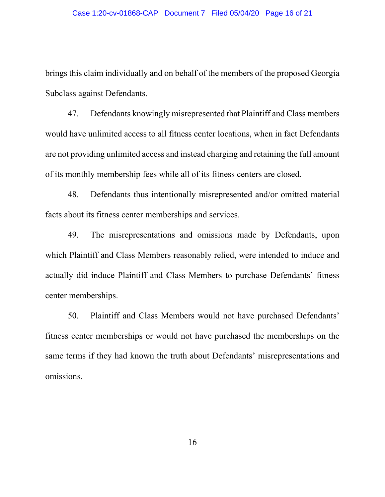brings this claim individually and on behalf of the members of the proposed Georgia Subclass against Defendants.

47. Defendants knowingly misrepresented that Plaintiff and Class members would have unlimited access to all fitness center locations, when in fact Defendants are not providing unlimited access and instead charging and retaining the full amount of its monthly membership fees while all of its fitness centers are closed.

48. Defendants thus intentionally misrepresented and/or omitted material facts about its fitness center memberships and services.

49. The misrepresentations and omissions made by Defendants, upon which Plaintiff and Class Members reasonably relied, were intended to induce and actually did induce Plaintiff and Class Members to purchase Defendants' fitness center memberships.

50. Plaintiff and Class Members would not have purchased Defendants' fitness center memberships or would not have purchased the memberships on the same terms if they had known the truth about Defendants' misrepresentations and omissions.

16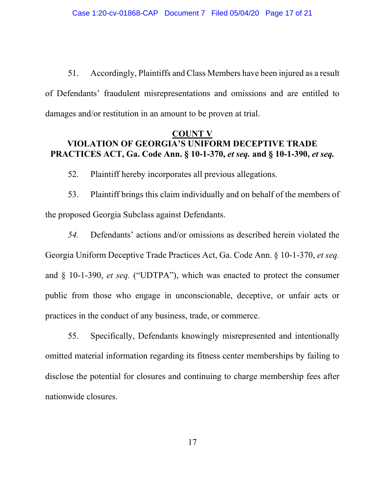51. Accordingly, Plaintiffs and Class Members have been injured as a result of Defendants' fraudulent misrepresentations and omissions and are entitled to damages and/or restitution in an amount to be proven at trial.

## **COUNT V VIOLATION OF GEORGIA'S UNIFORM DECEPTIVE TRADE PRACTICES ACT, Ga. Code Ann. § 10-1-370,** *et seq.* **and § 10-1-390,** *et seq.*

52. Plaintiff hereby incorporates all previous allegations.

53. Plaintiff brings this claim individually and on behalf of the members of the proposed Georgia Subclass against Defendants.

*54.* Defendants' actions and/or omissions as described herein violated the Georgia Uniform Deceptive Trade Practices Act, Ga. Code Ann. § 10-1-370, *et seq.* and § 10-1-390, *et seq.* ("UDTPA"), which was enacted to protect the consumer public from those who engage in unconscionable, deceptive, or unfair acts or practices in the conduct of any business, trade, or commerce.

55. Specifically, Defendants knowingly misrepresented and intentionally omitted material information regarding its fitness center memberships by failing to disclose the potential for closures and continuing to charge membership fees after nationwide closures.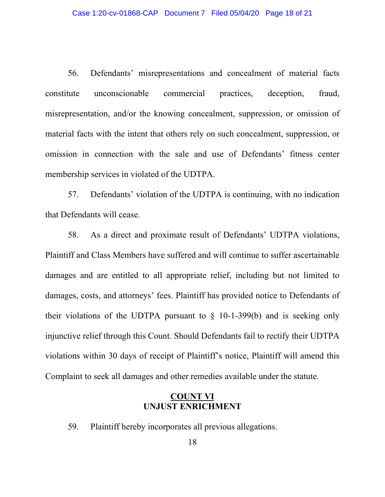56. Defendants' misrepresentations and concealment of material facts constitute unconscionable commercial practices, deception, fraud, misrepresentation, and/or the knowing concealment, suppression, or omission of material facts with the intent that others rely on such concealment, suppression, or omission in connection with the sale and use of Defendants' fitness center membership services in violated of the UDTPA.

57. Defendants' violation of the UDTPA is continuing, with no indication that Defendants will cease.

58. As a direct and proximate result of Defendants' UDTPA violations, Plaintiff and Class Members have suffered and will continue to suffer ascertainable damages and are entitled to all appropriate relief, including but not limited to damages, costs, and attorneys' fees. Plaintiff has provided notice to Defendants of their violations of the UDTPA pursuant to  $\S$  10-1-399(b) and is seeking only injunctive relief through this Count. Should Defendants fail to rectify their UDTPA violations within 30 days of receipt of Plaintiff's notice, Plaintiff will amend this Complaint to seek all damages and other remedies available under the statute.

## **COUNT VI UNJUST ENRICHMENT**

59. Plaintiff hereby incorporates all previous allegations.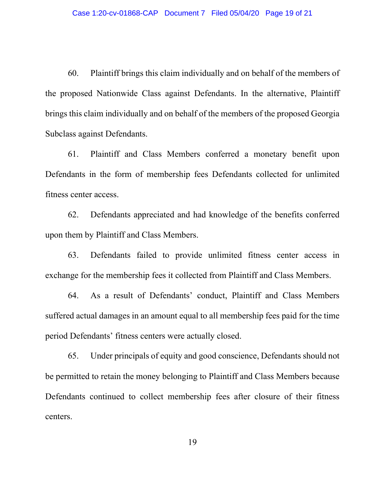60. Plaintiff brings this claim individually and on behalf of the members of the proposed Nationwide Class against Defendants. In the alternative, Plaintiff brings this claim individually and on behalf of the members of the proposed Georgia Subclass against Defendants.

61. Plaintiff and Class Members conferred a monetary benefit upon Defendants in the form of membership fees Defendants collected for unlimited fitness center access.

62. Defendants appreciated and had knowledge of the benefits conferred upon them by Plaintiff and Class Members.

63. Defendants failed to provide unlimited fitness center access in exchange for the membership fees it collected from Plaintiff and Class Members.

64. As a result of Defendants' conduct, Plaintiff and Class Members suffered actual damages in an amount equal to all membership fees paid for the time period Defendants' fitness centers were actually closed.

65. Under principals of equity and good conscience, Defendants should not be permitted to retain the money belonging to Plaintiff and Class Members because Defendants continued to collect membership fees after closure of their fitness centers.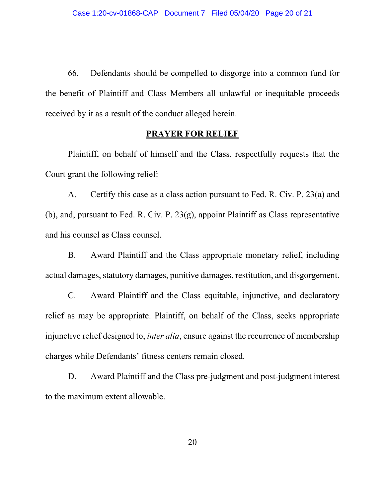66. Defendants should be compelled to disgorge into a common fund for the benefit of Plaintiff and Class Members all unlawful or inequitable proceeds received by it as a result of the conduct alleged herein.

### **PRAYER FOR RELIEF**

Plaintiff, on behalf of himself and the Class, respectfully requests that the Court grant the following relief:

A. Certify this case as a class action pursuant to Fed. R. Civ. P. 23(a) and (b), and, pursuant to Fed. R. Civ. P.  $23(g)$ , appoint Plaintiff as Class representative and his counsel as Class counsel.

B. Award Plaintiff and the Class appropriate monetary relief, including actual damages, statutory damages, punitive damages, restitution, and disgorgement.

C. Award Plaintiff and the Class equitable, injunctive, and declaratory relief as may be appropriate. Plaintiff, on behalf of the Class, seeks appropriate injunctive relief designed to, *inter alia*, ensure against the recurrence of membership charges while Defendants' fitness centers remain closed.

D. Award Plaintiff and the Class pre-judgment and post-judgment interest to the maximum extent allowable.